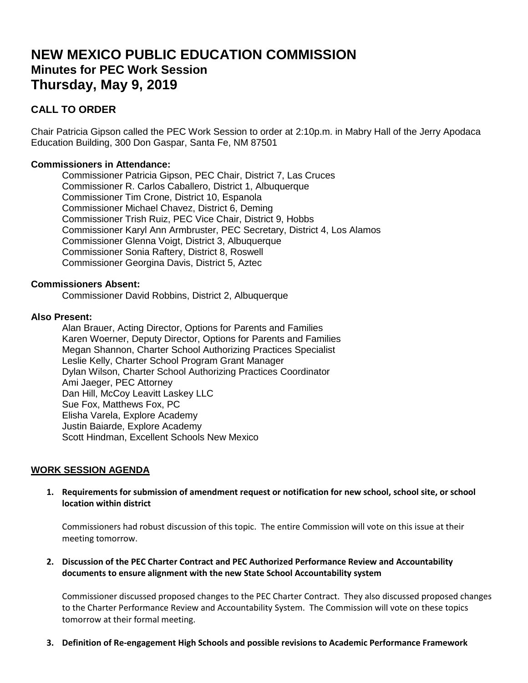# **NEW MEXICO PUBLIC EDUCATION COMMISSION Minutes for PEC Work Session Thursday, May 9, 2019**

# **CALL TO ORDER**

Chair Patricia Gipson called the PEC Work Session to order at 2:10p.m. in Mabry Hall of the Jerry Apodaca Education Building, 300 Don Gaspar, Santa Fe, NM 87501

# **Commissioners in Attendance:**

Commissioner Patricia Gipson, PEC Chair, District 7, Las Cruces Commissioner R. Carlos Caballero, District 1, Albuquerque Commissioner Tim Crone, District 10, Espanola Commissioner Michael Chavez, District 6, Deming Commissioner Trish Ruiz, PEC Vice Chair, District 9, Hobbs Commissioner Karyl Ann Armbruster, PEC Secretary, District 4, Los Alamos Commissioner Glenna Voigt, District 3, Albuquerque Commissioner Sonia Raftery, District 8, Roswell Commissioner Georgina Davis, District 5, Aztec

## **Commissioners Absent:**

Commissioner David Robbins, District 2, Albuquerque

#### **Also Present:**

Alan Brauer, Acting Director, Options for Parents and Families Karen Woerner, Deputy Director, Options for Parents and Families Megan Shannon, Charter School Authorizing Practices Specialist Leslie Kelly, Charter School Program Grant Manager Dylan Wilson, Charter School Authorizing Practices Coordinator Ami Jaeger, PEC Attorney Dan Hill, McCoy Leavitt Laskey LLC Sue Fox, Matthews Fox, PC Elisha Varela, Explore Academy Justin Baiarde, Explore Academy Scott Hindman, Excellent Schools New Mexico

## **WORK SESSION AGENDA**

**1. Requirements for submission of amendment request or notification for new school, school site, or school location within district**

Commissioners had robust discussion of this topic. The entire Commission will vote on this issue at their meeting tomorrow.

#### **2. Discussion of the PEC Charter Contract and PEC Authorized Performance Review and Accountability documents to ensure alignment with the new State School Accountability system**

Commissioner discussed proposed changes to the PEC Charter Contract. They also discussed proposed changes to the Charter Performance Review and Accountability System. The Commission will vote on these topics tomorrow at their formal meeting.

**3. Definition of Re-engagement High Schools and possible revisions to Academic Performance Framework**